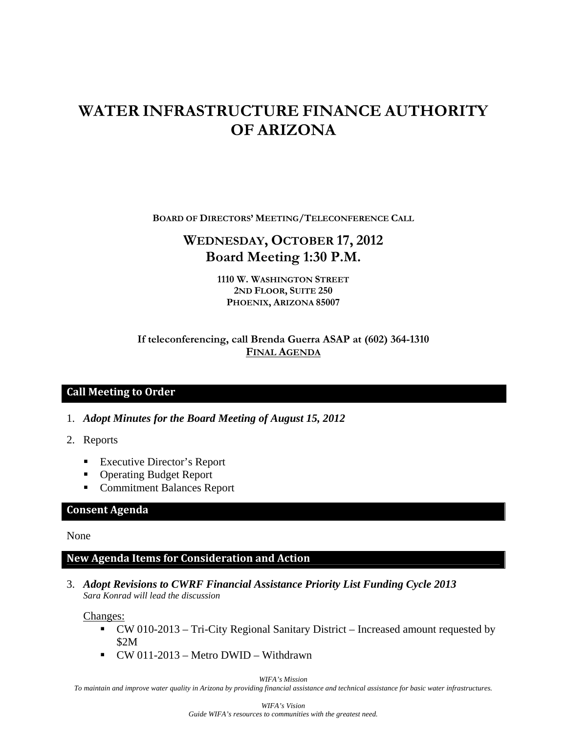# **WATER INFRASTRUCTURE FINANCE AUTHORITY OF ARIZONA**

**BOARD OF DIRECTORS' MEETING/TELECONFERENCE CALL**

## **WEDNESDAY, OCTOBER 17, 2012 Board Meeting 1:30 P.M.**

**1110 W. WASHINGTON STREET 2ND FLOOR, SUITE 250 PHOENIX, ARIZONA 85007** 

### **If teleconferencing, call Brenda Guerra ASAP at (602) 364-1310 FINAL AGENDA**

### **Call Meeting to Order**

- 1. *Adopt Minutes for the Board Meeting of August 15, 2012*
- 2. Reports
	- Executive Director's Report
	- Operating Budget Report
	- Commitment Balances Report

#### **Consent Agenda**

None

#### **New Agenda Items for Consideration and Action**

3. *Adopt Revisions to CWRF Financial Assistance Priority List Funding Cycle 2013 Sara Konrad will lead the discussion*

Changes:

- CW 010-2013 Tri-City Regional Sanitary District Increased amount requested by \$2M
- $\bullet$  CW 011-2013 Metro DWID Withdrawn

*WIFA's Mission* 

*To maintain and improve water quality in Arizona by providing financial assistance and technical assistance for basic water infrastructures.*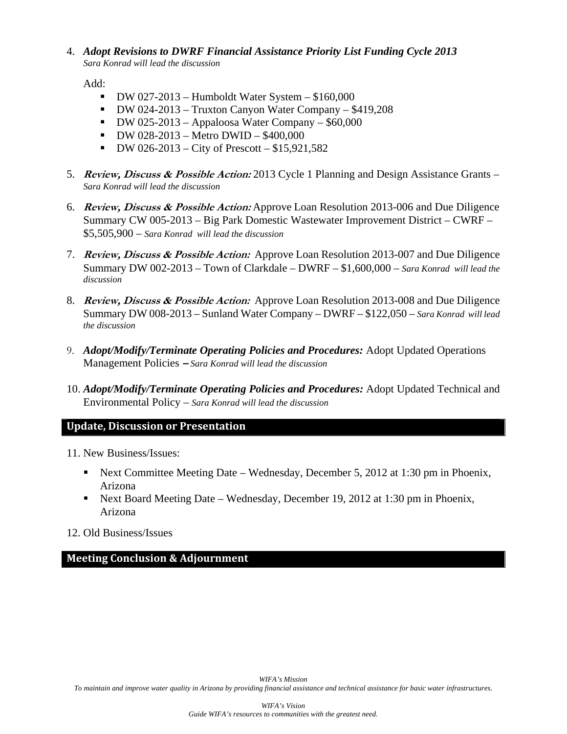#### 4. *Adopt Revisions to DWRF Financial Assistance Priority List Funding Cycle 2013 Sara Konrad will lead the discussion*

Add:

- $\bullet$  DW 027-2013 Humboldt Water System \$160,000
- $\bullet$  DW 024-2013 Truxton Canyon Water Company \$419,208
- $\bullet$  DW 025-2013 Appaloosa Water Company \$60,000
- $\bullet$  DW 028-2013 Metro DWID \$400,000
- $\blacksquare$  DW 026-2013 City of Prescott \$15,921,582
- 5. **Review, Discuss & Possible Action:** 2013 Cycle 1 Planning and Design Assistance Grants *Sara Konrad will lead the discussion*
- 6. **Review, Discuss & Possible Action:** Approve Loan Resolution 2013-006 and Due Diligence Summary CW 005-2013 – Big Park Domestic Wastewater Improvement District – CWRF – \$5,505,900 – *Sara Konrad will lead the discussion*
- 7. **Review, Discuss & Possible Action:** Approve Loan Resolution 2013-007 and Due Diligence Summary DW 002-2013 – Town of Clarkdale – DWRF – \$1,600,000 – *Sara Konrad will lead the discussion*
- 8. **Review, Discuss & Possible Action:** Approve Loan Resolution 2013-008 and Due Diligence Summary DW 008-2013 – Sunland Water Company – DWRF – \$122,050 – *Sara Konrad will lead the discussion*
- 9. *Adopt/Modify/Terminate Operating Policies and Procedures:* Adopt Updated Operations Management Policies **–** *Sara Konrad will lead the discussion*
- 10. *Adopt/Modify/Terminate Operating Policies and Procedures:* Adopt Updated Technical and Environmental Policy – *Sara Konrad will lead the discussion*

#### **Update, Discussion or Presentation**

- 11. New Business/Issues:
	- Next Committee Meeting Date Wednesday, December 5, 2012 at 1:30 pm in Phoenix, Arizona
	- Next Board Meeting Date Wednesday, December 19, 2012 at 1:30 pm in Phoenix, Arizona
- 12. Old Business/Issues

### **Meeting Conclusion & Adjournment**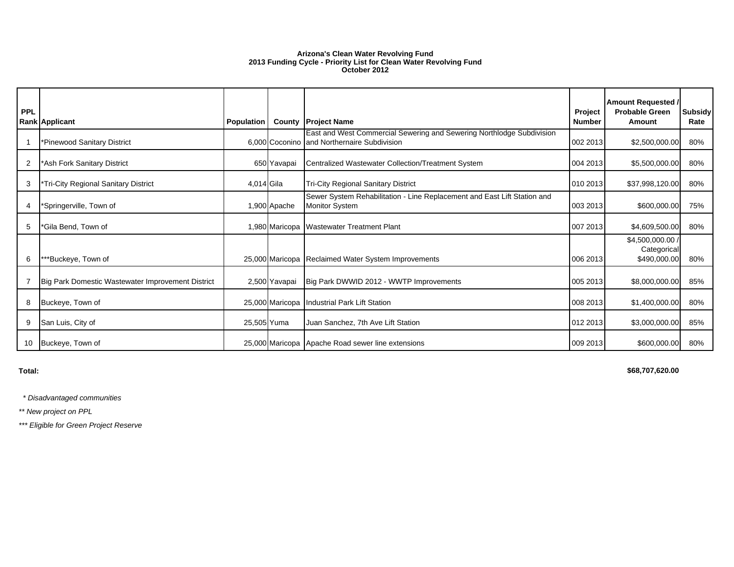#### **Arizona's Clean Water Revolving Fund 2013 Funding Cycle - Priority List for Clean Water Revolving Fund October 2012**

| PPL            | <b>Rank Applicant</b>                             | Population  | County          | Project<br><b>Project Name</b><br><b>Number</b>                                                                      |          | <b>Amount Requested /</b><br><b>Probable Green</b><br>Amount | <b>Subsidy</b><br>Rate |
|----------------|---------------------------------------------------|-------------|-----------------|----------------------------------------------------------------------------------------------------------------------|----------|--------------------------------------------------------------|------------------------|
|                | *Pinewood Sanitary District                       |             |                 | East and West Commercial Sewering and Sewering Northlodge Subdivision<br>6,000 Coconino and Northernaire Subdivision | 002 2013 | \$2,500,000.00                                               | 80%                    |
| $\overline{2}$ | *Ash Fork Sanitary District                       |             | 650 Yavapai     | Centralized Wastewater Collection/Treatment System                                                                   | 004 2013 | \$5,500,000.00                                               | 80%                    |
| 3              | Tri-City Regional Sanitary District               | 4,014 Gila  |                 | <b>Tri-City Regional Sanitary District</b>                                                                           | 010 2013 | \$37,998,120.00                                              | 80%                    |
| $\overline{4}$ | *Springerville, Town of                           |             | 1,900 Apache    | Sewer System Rehabilitation - Line Replacement and East Lift Station and<br><b>Monitor System</b>                    | 003 2013 | \$600,000.00                                                 | 75%                    |
| 5              | *Gila Bend, Town of                               |             | 1,980 Maricopa  | <b>Wastewater Treatment Plant</b>                                                                                    | 007 2013 | \$4,609,500.00                                               | 80%                    |
| 6              | **Buckeye, Town of                                |             |                 | 25,000 Maricopa Reclaimed Water System Improvements                                                                  | 006 2013 | \$4,500,000.00<br>Categorical<br>\$490,000.00                | 80%                    |
|                | Big Park Domestic Wastewater Improvement District |             | 2,500 Yavapai   | Big Park DWWID 2012 - WWTP Improvements                                                                              | 005 2013 | \$8,000,000.00                                               | 85%                    |
| 8              | Buckeye, Town of                                  |             | 25,000 Maricopa | <b>Industrial Park Lift Station</b>                                                                                  | 008 2013 | \$1,400,000.00                                               | 80%                    |
| 9              | San Luis, City of                                 | 25,505 Yuma |                 | Juan Sanchez, 7th Ave Lift Station                                                                                   | 012 2013 | \$3,000,000.00                                               | 85%                    |
| 10             | Buckeye, Town of                                  |             |                 | 25,000 Maricopa Apache Road sewer line extensions                                                                    | 009 2013 | \$600,000.00                                                 | 80%                    |

**Total:**

**\$68,707,620.00** 

 *\* Disadvantaged communities*

*\*\* New project on PPL*

*\*\*\* Eligible for Green Project Reserve*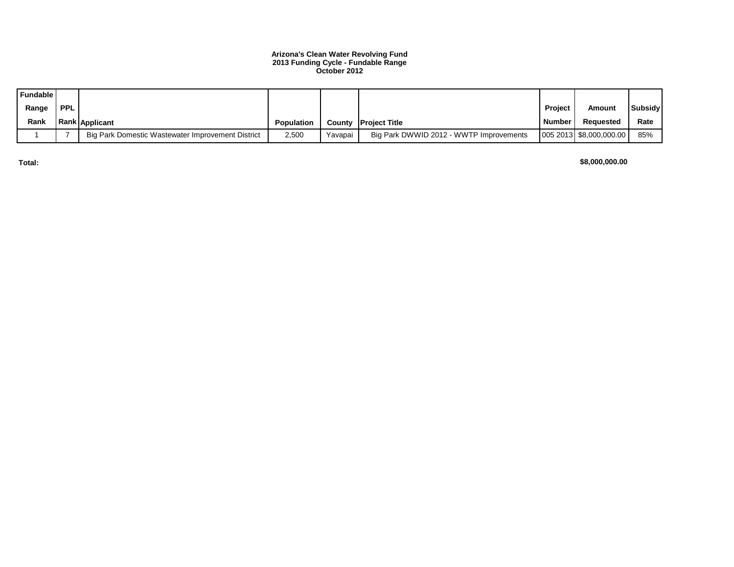#### **Arizona's Clean Water Revolving Fund 2013 Funding Cycle - Fundable Range October 2012**

| <b>Fundable</b> |            |                                                   |                   |         |                                         |               |                         |                |
|-----------------|------------|---------------------------------------------------|-------------------|---------|-----------------------------------------|---------------|-------------------------|----------------|
| Range           | <b>PPL</b> |                                                   |                   |         |                                         | Project       | Amount                  | <b>Subsidy</b> |
| Rank            |            | <b>Rank Applicant</b>                             | <b>Population</b> |         | <b>County IProject Title</b>            | <b>Number</b> | Reauested               | Rate           |
|                 |            | Big Park Domestic Wastewater Improvement District | 2,500             | Yavapai | Big Park DWWID 2012 - WWTP Improvements |               | 005 2013 \$8,000,000.00 | 85%            |

**Total:**

**\$8,000,000.00**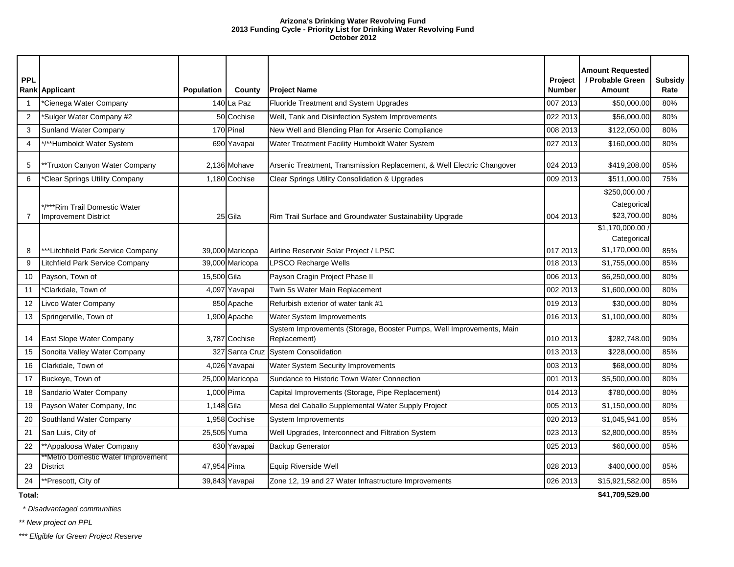#### **Arizona's Drinking Water Revolving Fund 2013 Funding Cycle - Priority List for Drinking Water Revolving Fund October 2012**

| <b>PPL</b>     | Rank Applicant                                               | <b>Population</b> | County          | Project<br>Number<br><b>Project Name</b>                                             |          | <b>Amount Requested</b><br>/ Probable Green<br><b>Amount</b> | <b>Subsidy</b><br>Rate |
|----------------|--------------------------------------------------------------|-------------------|-----------------|--------------------------------------------------------------------------------------|----------|--------------------------------------------------------------|------------------------|
| $\mathbf{1}$   | *Cienega Water Company                                       |                   | 140 La Paz      | Fluoride Treatment and System Upgrades                                               | 007 2013 | \$50,000.00                                                  | 80%                    |
| $\overline{2}$ | Sulger Water Company #2                                      |                   | 50 Cochise      | Well, Tank and Disinfection System Improvements                                      | 022 2013 | \$56,000.00                                                  | 80%                    |
| 3              | Sunland Water Company                                        |                   | 170 Pinal       | New Well and Blending Plan for Arsenic Compliance                                    | 008 2013 | \$122,050.00                                                 | 80%                    |
| $\overline{4}$ | */**Humboldt Water System                                    |                   | 690 Yavapai     | Water Treatment Facility Humboldt Water System                                       | 027 2013 | \$160,000.00                                                 | 80%                    |
| 5              | **Truxton Canyon Water Company                               |                   | 2,136 Mohave    | Arsenic Treatment, Transmission Replacement, & Well Electric Changover               | 024 2013 | \$419,208.00                                                 | 85%                    |
| 6              | *Clear Springs Utility Company                               |                   | 1,180 Cochise   | Clear Springs Utility Consolidation & Upgrades                                       | 009 2013 | \$511,000.00                                                 | 75%                    |
| $\overline{7}$ | */***Rim Trail Domestic Water<br><b>Improvement District</b> |                   | 25 Gila         | Rim Trail Surface and Groundwater Sustainability Upgrade                             | 004 2013 | \$250,000.00<br>Categorical<br>\$23,700.00                   | 80%                    |
| 8              | ***Litchfield Park Service Company                           |                   | 39,000 Maricopa | Airline Reservoir Solar Project / LPSC                                               | 017 2013 | \$1,170,000.00 /<br>Categorical<br>\$1,170,000.00            | 85%                    |
| 9              | Litchfield Park Service Company                              |                   | 39,000 Maricopa | LPSCO Recharge Wells<br>018 2013                                                     |          | \$1,755,000.00                                               | 85%                    |
| 10             | Payson, Town of                                              | 15,500 Gila       |                 | Payson Cragin Project Phase II                                                       | 006 2013 | \$6,250,000.00                                               | 80%                    |
| 11             | *Clarkdale, Town of                                          |                   | 4,097 Yavapai   | Twin 5s Water Main Replacement                                                       | 002 2013 | \$1,600,000.00                                               | 80%                    |
| 12             | Livco Water Company                                          |                   | 850 Apache      | Refurbish exterior of water tank #1<br>019 2013                                      |          | \$30,000.00                                                  | 80%                    |
| 13             | Springerville, Town of                                       |                   | 1,900 Apache    | <b>Water System Improvements</b><br>016 2013                                         |          | \$1,100,000.00                                               | 80%                    |
| 14             | East Slope Water Company                                     |                   | 3,787 Cochise   | System Improvements (Storage, Booster Pumps, Well Improvements, Main<br>Replacement) | 010 2013 | \$282,748.00                                                 | 90%                    |
| 15             | Sonoita Valley Water Company                                 |                   | 327 Santa Cruz  | System Consolidation                                                                 | 013 2013 | \$228,000.00                                                 | 85%                    |
| 16             | Clarkdale, Town of                                           |                   | 4,026 Yavapai   | Water System Security Improvements                                                   | 003 2013 | \$68,000.00                                                  | 80%                    |
| 17             | Buckeye, Town of                                             |                   | 25,000 Maricopa | Sundance to Historic Town Water Connection                                           | 001 2013 | \$5,500,000.00                                               | 80%                    |
| 18             | Sandario Water Company                                       | 1,000 Pima        |                 | Capital Improvements (Storage, Pipe Replacement)                                     | 014 2013 | \$780,000.00                                                 | 80%                    |
| 19             | Payson Water Company, Inc.                                   | 1,148 Gila        |                 | Mesa del Caballo Supplemental Water Supply Project                                   | 005 2013 | \$1,150,000.00                                               | 80%                    |
| 20             | Southland Water Company                                      |                   | 1,958 Cochise   | System Improvements                                                                  | 020 2013 | \$1,045,941.00                                               | 85%                    |
| 21             | San Luis, City of                                            | 25,505 Yuma       |                 | Well Upgrades, Interconnect and Filtration System                                    | 023 2013 | \$2,800,000.00                                               | 85%                    |
| 22             | **Appaloosa Water Company                                    |                   | 630 Yavapai     | Backup Generator                                                                     | 025 2013 | \$60,000.00                                                  | 85%                    |
| 23             | *Metro Domestic Water Improvement<br><b>District</b>         | 47,954 Pima       |                 | Equip Riverside Well                                                                 | 028 2013 | \$400,000.00                                                 | 85%                    |
| 24             | **Prescott, City of                                          |                   | 39,843 Yavapai  | Zone 12, 19 and 27 Water Infrastructure Improvements<br>026 2013                     |          | \$15,921,582.00<br>$A + A = A \bullet B \bullet A$           | 85%                    |

**Total:**

\* *Disadvantaged communities*

*\*\* New project on PPL*

*\*\*\* Eligible for Green Project Reserve*

**\$41,709,529.00**